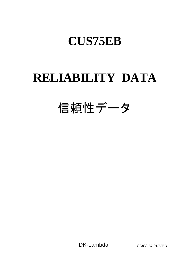# **CUS75EB**

# **RELIABILITY DATA**

# 信頼性データ

TDK-Lambda CA833-57-01/75EB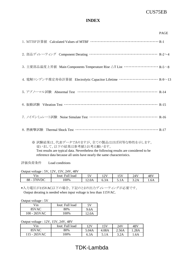# CUS75EB

## **INDEX**

|                                                                                       | <b>PAGE</b> |
|---------------------------------------------------------------------------------------|-------------|
|                                                                                       |             |
| 2. 部品ディレーティング Component Derating ………………………………………… R-2~4                               |             |
| 3. 主要部品温度上昇値 Main Components Temperature Rise △T List ························· R-5∼8 |             |
| 4. 電解コンデンサ推定寿命計算値 Electrolytic Capacitor Lifetime ……………………… R-9~13                    |             |
|                                                                                       |             |
| 6. 振動試験 Vibration Test ………………………………………………………… R-15                                    |             |
| 7. ノイズシミュレート試験 Noise Simulate Test ………………………………………… R-16                              |             |
|                                                                                       |             |

※ 試験結果は、代表データでありますが、全ての製品はほぼ同等な特性を示します。 従いまして、以下の結果は参考値とお考え願います。 Test results are typical data. Nevertheless the following results are considered to be reference data because all units have nearly the same characteristics.

評価負荷条件 Load conditions

Output voltage : 5V, 12V, 15V, 24V, 48V

| $-1.7.7$<br>'1n                                              | 11 <sub>1</sub><br>lout:<br>Full<br>load | $T$ $T$<br>A.<br>ັ           | 12V<br>∸∸ | $-11$<br>⊥ັ | 24V                                        | 48V  |
|--------------------------------------------------------------|------------------------------------------|------------------------------|-----------|-------------|--------------------------------------------|------|
| $270$ $N$ $nC$<br>$88-$<br>$\mathbf{v}$<br>DΨ<br>$\mathbf v$ | 100%                                     | $\bigcap$ $\bigcap$<br>12.0A | 6.3A      | J.111       | $\sim$ $\sim$ $\sim$<br>$J. \angle \Gamma$ | 1.0A |

\*入力電圧が115VAC以下の場合、下記のとおり出力ディレーティングが必要です。 Output derating is needed when input voltage is less than 115VAC.

Output voltage : 5V

| Vin             | Iout: Full load | 5V    |
|-----------------|-----------------|-------|
| 85VAC           | 80%             | 9.6A  |
| $100 - 265$ VAC | 100%            | 12.0A |

Output voltage : 12V, 15V, 24V, 48V

| $\mathrm{V}\text{in}$ | <b>Iout:</b> Full load | 12V   | 15V   | 24 V  | 481   |
|-----------------------|------------------------|-------|-------|-------|-------|
| 85VAC                 | 80%                    | 5.04A | 4.08A | 2.56A | l.28A |
| 115 - 265VAC          | 00%                    | 6.3A  | 5.1A  | 3.2A  | .6A   |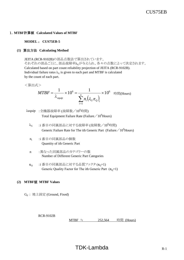#### 1.**MTBF**計算値 **Calculated Values of MTBF**

#### **MODEL** : **CUS75EB-5**

#### **(1)** 算出方法 **Calculating Method**

JEITA (RCR-9102B)の部品点数法で算出されています。 それぞれの部品ごとに、部品故障率λGが与えられ、各々の点数によって決定されます。 Calculated based on part count reliability projection of JEITA (RCR-9102B). Individual failure rates  $\lambda_G$  is given to each part and MTBF is calculated by the count of each part.

<算出式>

$$
MTBF = \frac{1}{\lambda_{\text{equip}}} \times 10^6 = \frac{1}{\sum_{i=1}^n n_i (\lambda_G \pi_Q)_i} \times 10^6 \quad \text{iff } \text{[Hours]}
$$

 $\lambda$ equip :全機器故障率 (故障数/10 $^6$ 時間) Total Equipment Failure Rate (Failure / 10<sup>6</sup>Hours)

- $\lambda_{\rm G}$  :i 番目の同属部品に対する故障率 (故障数/10 $^6$ 時間) Generic Failure Rate for The ith Generic Part (Failure  $/ 10^6$  Hours)
- n<sub>i</sub> :i 番目の同属部品の個数 Quantity of ith Generic Part
- n :異なった同属部品のカテゴリーの数 Number of Different Generic Part Categories
- $\pi_{\Omega}$  :i 番目の同属部品に対する品質ファクタ $(\pi_{\Omega}=1)$ Generic Quality Factor for The ith Generic Part  $(\pi_0=1)$

#### **(2) MTBF**値 **MTBF Values**

GF : 地上固定 (Ground, Fixed)

#### RCR-9102B

MTBF ≒  $252,564$  時間 (Hours)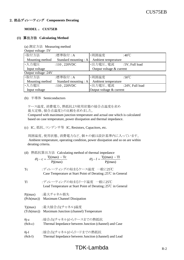#### 2.部品ディレーティング **Components Derating**

#### **MODEL** : **CUS75EB**

#### **(1)** 算出方法 **Calculating Method**

|                    | (a) 測定方法 Measuring method |
|--------------------|---------------------------|
| Output voltage .5V |                           |

| $U$ utput vontage . $U$ v |                       |                          |                          |  |  |
|---------------------------|-----------------------|--------------------------|--------------------------|--|--|
| ·取付方法                     | :標準取付:A               | ・周囲温度                    | :40 $\degree$ C          |  |  |
| Mounting method           | Standard mounting : A | Ambient temperature      |                          |  |  |
| ・入力電圧                     | :110,220VDC           | ・出力電圧、電流                 | :5V, Full load           |  |  |
| Input voltage             |                       | Output voltage & current |                          |  |  |
| Output voltage: 24V       |                       |                          |                          |  |  |
| ・取付方法                     | :標準取付:A               | ・周囲温度                    | :50 $\mathrm{^{\circ}C}$ |  |  |
| Mounting method           | Standard mounting : A | Ambient temperature      |                          |  |  |
| ·入力電圧                     | :110,220VDC           | ・出力電圧、電流                 | :24V, Full load          |  |  |
| Input voltage             |                       | Output voltage & current |                          |  |  |

(b) 半導体 Semiconductors

ケース温度、消費電力、熱抵抗より使用状態の接合点温度を求め 最大定格、接合点温度との比較を求めました。

 Compared with maximum junction temperature and actual one which is calculated based on case temperature, power dissipation and thermal impedance.

(c) IC、抵抗、コンデンサ等 IC, Resistors, Capacitors, etc.

 周囲温度、使用状態、消費電力など、個々の値は設計基準内に入っています。 Ambient temperature, operating condition, power dissipation and so on are within derating criteria.

(d) 熱抵抗算出方法 Calculating method of thermal impedance  $T_1(m_0x)$   $T_1$ 

|                                 | $\theta$ j – c = $\frac{Tj(max) - Tc}{Pj(max)}$                                                     | $\theta j - l = \frac{Tj(max) - Tl}{Pi(max)}$ |
|---------------------------------|-----------------------------------------------------------------------------------------------------|-----------------------------------------------|
| Tc                              | :ディレーティングの始まるケース温度 一般に25℃<br>Case Temperature at Start Point of Derating; $25^{\circ}$ C in General |                                               |
| Tl                              | :ディレーティングの始まるリード温度 一般に25℃<br>Lead Temperature at Start Point of Derating; $25^{\circ}$ C in General |                                               |
|                                 | Pj(max) :最大チャネル損失<br>(Pch(max)) Maximum Channel Dissipation                                         |                                               |
| Tj(max)<br>(Tch(max))           | :最大接合点(チャネル)温度<br>Maximum Junction (channel) Temperature                                            |                                               |
| $\theta$ j-c<br>$(\theta$ ch-c) | :接合点(チャネル)からケースまでの熱抵抗<br>Thermal Impedance between Junction (channel) and Case                      |                                               |
| $\theta$ j-l<br>$(\theta$ ch-l) | :接合点(チャネル)からリードまでの熱抵抗<br>Thermal Impedance between Junction (channel) and Lead                      |                                               |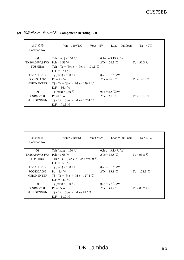| 部品番号<br>Location No. | $Vin = 110VDC$                                  | $Vout = 5V$ | $Load = Full load$        | $Ta = 40^{\circ}C$ |  |
|----------------------|-------------------------------------------------|-------------|---------------------------|--------------------|--|
| Q1                   | Tch (max) = $150^{\circ}$ C                     |             | $\theta$ ch-c = 3.13 °C/W |                    |  |
| <b>TK16A60W,S4VX</b> | $Pch = 1.53 W$                                  |             | $\Delta Tc = 56.3$ °C     | $Tc = 96.3$ °C     |  |
| <b>TOSHIBA</b>       | Tch = Tc + ( $\theta$ ch-c × Pch) = 101.1 °C    |             |                           |                    |  |
|                      | D.F. = $67.4\%$                                 |             |                           |                    |  |
| D51A, D51B           | Tj (max) = $150^{\circ}$ C                      |             | $\theta$ j-c = 1.5 °C/W   |                    |  |
| FCQS30A065           | $Pd = 2.4 W$                                    |             | $\Delta Tc = 86.0$ °C     | $T_c = 126.0 °C$   |  |
| <b>NIHON INTER</b>   | $Tj = Tc + (\theta j - c \times Pd) = 129.6$ °C |             |                           |                    |  |
|                      | D.F. = $86.4\%$                                 |             |                           |                    |  |
| D1                   | Tj (max) = $150 °C$                             |             | $\theta$ j-c = 5.5 °C/W   |                    |  |
| D3SB60-7000          | $Pd = 1.1 W$                                    |             | $\Delta Tc = 61.3$ °C     | $T_c = 101.3 °C$   |  |
| <b>SHINDENGEN</b>    | $Tj = Tc + (\theta j - c \times Pd) = 107.4$ °C |             |                           |                    |  |
|                      | $D.F. = 71.6 \%$                                |             |                           |                    |  |

# **(2)** 部品ディレーティング表 **Component Derating List**

| 部品番号<br>Location No. | $Vin = 220VDC$<br>$Vout = 5V$                   | $Load = Full load$        | $Ta = 40^{\circ}C$ |
|----------------------|-------------------------------------------------|---------------------------|--------------------|
| Q <sub>1</sub>       | Tch (max) = $150^{\circ}$ C                     | $\theta$ ch-c = 3.13 °C/W |                    |
| <b>TK16A60W,S4VX</b> | $Pch = 1.65 W$                                  | $\Delta Tc = 53.8$ °C     | $Tc = 93.8 °C$     |
| <b>TOSHIBA</b>       | Tch = Tc + ( $\theta$ ch-c × Pch) = 99.0 °C     |                           |                    |
|                      | D.F. = 66.0 $\%$                                |                           |                    |
| D51A, D51B           | T <sub>j</sub> (max) = 150 °C                   | $\theta$ j-c = 1.5 °C/W   |                    |
| FCQS30A065           | $Pd = 2.4 W$                                    | $\Delta Tc = 83.8 °C$     | $Tc = 123.8 °C$    |
| <b>NIHON INTER</b>   | $Tj = Tc + (\theta j - c \times Pd) = 127.4$ °C |                           |                    |
|                      | $D.F. = 84.9 \%$                                |                           |                    |
| D <sub>1</sub>       | Tj (max) = 150 °C                               | $\theta$ j-c = 5.5 °C/W   |                    |
| D3SB60-7000          | $Pd = 0.5 W$                                    | $\Delta Tc = 48.7$ °C     | $Tc = 88.7 °C$     |
| <b>SHINDENGEN</b>    | $Tj = Tc + (\theta j - c \times Pd) = 91.5$ °C  |                           |                    |
|                      | D.F. = $61.0 \%$                                |                           |                    |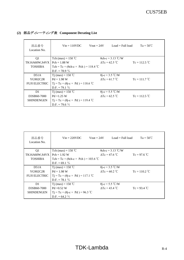| 部品番号<br>Location No. | $V$ in = 110VDC                                 | Vout = $24V$<br>$Load = Full load$ | $Ta = 50^{\circ}C$ |
|----------------------|-------------------------------------------------|------------------------------------|--------------------|
| Q <sub>1</sub>       | Tch (max) = $150^{\circ}$ C                     | $\theta$ ch-c = 3.13 °C/W          |                    |
| <b>TK16A60W,S4VX</b> | $Pch = 1.88 W$                                  | $\Delta Tc = 62.5$ °C              | $T_c = 112.5 °C$   |
| <b>TOSHIBA</b>       | Tch = Tc + $(\theta$ ch-c × Pch) = 118.4 °C     |                                    |                    |
|                      | D.F. = 78.9 $\%$                                |                                    |                    |
| D51A                 | T <sub>j</sub> (max) = 150 °C                   | $\theta$ j-c = 3.5 °C/W            |                    |
| YG902C2R             | $Pd = 1.98 W$                                   | $\Delta Tc = 61.7$ °C              | $T_c = 111.7 °C$   |
| <b>FUJI ELECTRIC</b> | $Tj = Tc + (\theta j - c \times Pd) = 118.6 °C$ |                                    |                    |
|                      | $D.F. = 79.1 \%$                                |                                    |                    |
| D <sub>1</sub>       | Tj (max) = $150^{\circ}$ C                      | $\theta$ j-c = 5.5 °C/W            |                    |
| D3SB60-7000          | $Pd = 1.25 W$                                   | $\Delta T_c = 62.5 \text{ °C}$     | $T_c = 112.5 °C$   |
| <b>SHINDENGEN</b>    | $Tj = Tc + (\theta j - c \times Pd) = 119.4$ °C |                                    |                    |
|                      | $D.F. = 79.6 \%$                                |                                    |                    |

# **(2)** 部品ディレーティング表 **Component Derating List**

| 部品番号<br>Location No. | $V$ in = 220VDC                                 | $Vout = 24V$<br>$Load = Full load$           | $Ta = 50^{\circ}C$ |  |  |  |
|----------------------|-------------------------------------------------|----------------------------------------------|--------------------|--|--|--|
| Q <sub>1</sub>       | Tch (max) = $150^{\circ}$ C                     | $\theta$ ch-c = 3.13 °C/W                    |                    |  |  |  |
| <b>TK16A60W,S4VX</b> | $Pch = 1.92 W$                                  | $\Delta$ Tc = 47.6 °C                        | $Tc = 97.6 °C$     |  |  |  |
| <b>TOSHIBA</b>       |                                                 | Tch = Tc + ( $\theta$ ch-c × Pch) = 103.6 °C |                    |  |  |  |
|                      | D.F. = $69.1\%$                                 |                                              |                    |  |  |  |
| D51A                 | T <sub>j</sub> (max) = 150 °C                   | $\theta$ j-c = 3.5 °C/W                      |                    |  |  |  |
| YG902C2R             | $Pd = 1.98 W$                                   | $\Delta Tc = 60.2$ °C                        | $T_c = 110.2 °C$   |  |  |  |
| <b>FUJI ELECTRIC</b> | $Tj = Tc + (\theta j - c \times Pd) = 117.1$ °C |                                              |                    |  |  |  |
|                      | $D.F. = 78.1 \%$                                |                                              |                    |  |  |  |
| D1                   | Tj (max) = $150 °C$                             | $\theta$ j-c = 5.5 °C/W                      |                    |  |  |  |
| D3SB60-7000          | $Pd = 0.52$ W                                   | $\Delta T_c = 43.4 \text{ }^{\circ}\text{C}$ | $T_c = 93.4 °C$    |  |  |  |
| <b>SHINDENGEN</b>    | $Tj = Tc + (\theta j - c \times Pd) = 96.3$ °C  |                                              |                    |  |  |  |
|                      | $D.F. = 64.2 \%$                                |                                              |                    |  |  |  |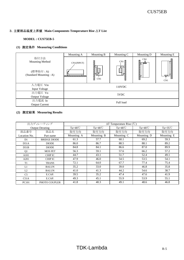#### **MODEL : CUS75EB-5**

#### **(1)** 測定条件 **Measuring Conditions**

|                                                                      | Mounting A                                               | Mounting B              | Mounting C               | Mounting D    | Mounting E |
|----------------------------------------------------------------------|----------------------------------------------------------|-------------------------|--------------------------|---------------|------------|
| 取付方法<br><b>Mounting Method</b><br>(標準取付:A)<br>(Standard Mounting: A) | CN1(INPUT)<br>n an t-ainm an an an an an an an t-ainm an | i<br>N<br>Ę<br>N<br>CN1 | CN1<br>IJ<br>$\Box$<br>ŀ | CN1<br>Ñ<br>ŷ | ŀ<br>CN1   |
| 入力電圧 Vin                                                             |                                                          |                         | 110VDC                   |               |            |
| Input Voltage                                                        |                                                          |                         |                          |               |            |
| 出力電圧 Vo                                                              |                                                          |                         | 5VDC                     |               |            |
| <b>Output Voltage</b>                                                |                                                          |                         |                          |               |            |
| 出力電流 Io                                                              |                                                          |                         | Full load                |               |            |
| <b>Output Current</b>                                                |                                                          |                         |                          |               |            |

|                | 出力ディレーティング             | $\Delta T$ Temperature Rise (°C) |                  |                  |                  |                  |  |  |  |
|----------------|------------------------|----------------------------------|------------------|------------------|------------------|------------------|--|--|--|
|                | <b>Output Derating</b> | $Ta=40^{\circ}C$                 | $Ta=40^{\circ}C$ | $Ta=40^{\circ}C$ | $Ta=40^{\circ}C$ | $Ta=35^{\circ}C$ |  |  |  |
| 部品番号           | 部品名                    | 取付方向                             | 取付方向             | 取付方向             | 取付方向             | 取付方向             |  |  |  |
| Location No.   | Part name              | Mounting A                       | Mounting B       | Mounting C       | Mounting D       | Mounting E       |  |  |  |
| D <sub>1</sub> | <b>BRIDGE DIODE</b>    | 61.3                             | 57.7             | 60.1             | 69.2             | 59.3             |  |  |  |
| D51A           | <b>DIODE</b>           | 86.0                             | 86.7             | 88.5             | 88.1             | 89.2             |  |  |  |
| D51B           | <b>DIODE</b>           | 84.8                             | 84.1             | 86.6             | 87.0             | 89.9             |  |  |  |
| Q <sub>1</sub> | <b>MOS FET</b>         | 56.3                             | 59.1             | 57.6             | 66.2             | 57.2             |  |  |  |
| A101           | <b>CHIP IC</b>         | 44.7                             | 43.1             | 51.7             | 52.4             | 49.1             |  |  |  |
| A201           | <b>CHIP IC</b>         | 47.9                             | 46.0             | 54.5             | 53.5             | 54.1             |  |  |  |
| T1             | <b>TRANS</b>           | 72.1                             | 64.0             | 67.7             | 77.4             | 75.4             |  |  |  |
| L1             | <b>BALUN</b>           | 35.2                             | 33.0             | 39.0             | 46.8             | 35.8             |  |  |  |
| L2             | <b>BALUN</b>           | 41.0                             | 41.3             | 44.2             | 54.6             | 38.7             |  |  |  |
| C <sub>5</sub> | E.CAP.                 | 39.5                             | 35.2             | 47.4             | 47.6             | 41.9             |  |  |  |
| C51A           | E.CAP.                 | 49.3                             | 45.1             | 55.9             | 53.9             | 55.1             |  |  |  |
| <b>PC101</b>   | PHOTO COUPLER          | 41.8                             | 40.3             | 49.1             | 48.6             | 46.8             |  |  |  |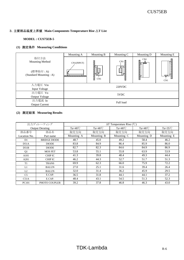#### **MODEL : CUS75EB-5**

#### **(1)** 測定条件 **Measuring Conditions**

|                                                                      | Mounting A                                                   | Mounting B               | Mounting C              | Mounting D                 | Mounting E |  |  |
|----------------------------------------------------------------------|--------------------------------------------------------------|--------------------------|-------------------------|----------------------------|------------|--|--|
| 取付方法<br><b>Mounting Method</b><br>(標準取付:A)<br>(Standard Mounting: A) | CN1(INPUT)<br>a a da baile a dara a dara da a dara da dara d | ¦∏<br>¦<br>Ę<br>N<br>CN1 | CN1<br>H<br>$\Box$<br>ŀ | CN1<br>Ñ<br>バックス つうこう しゅうし | l<br>CN1   |  |  |
| 入力電圧 Vin<br>Input Voltage                                            | 220VDC                                                       |                          |                         |                            |            |  |  |
| 出力電圧 Vo<br>Output Voltage                                            |                                                              |                          | 5VDC                    |                            |            |  |  |
| 出力電流 Io<br><b>Output Current</b>                                     |                                                              |                          | Full load               |                            |            |  |  |

|                | 出力ディレーティング             | $\Delta T$ Temperature Rise (°C) |                  |                  |                  |                    |  |  |  |
|----------------|------------------------|----------------------------------|------------------|------------------|------------------|--------------------|--|--|--|
|                | <b>Output Derating</b> | $Ta=40^{\circ}C$                 | $Ta=40^{\circ}C$ | $Ta=40^{\circ}C$ | $Ta=40^{\circ}C$ | Ta= $35^{\circ}$ C |  |  |  |
| 部品番号           | 部品名                    | 取付方向                             | 取付方向             | 取付方向             | 取付方向             | 取付方向               |  |  |  |
| Location No.   | Part name              | Mounting A                       | Mounting B       | Mounting C       | Mounting D       | Mounting E         |  |  |  |
| D1             | <b>BRIDGE DIODE</b>    | 48.7                             | 45.0             | 49.2             | 58.4             | 46.2               |  |  |  |
| D51A           | <b>DIODE</b>           | 83.8                             | 84.9             | 86.4             | 85.9             | 86.0               |  |  |  |
| D51B           | <b>DIODE</b>           | 82.7                             | 82.3             | 84.6             | 84.9             | 86.9               |  |  |  |
| Q <sub>1</sub> | <b>MOS FET</b>         | 53.8                             | 55.1             | 55.8             | 63.9             | 53.9               |  |  |  |
| A101           | <b>CHIP IC</b>         | 41.3                             | 39.8             | 48.4             | 49.3             | 44.4               |  |  |  |
| A201           | <b>CHIP IC</b>         | 46.2                             | 44.3             | 52.7             | 51.7             | 51.3               |  |  |  |
| T1             | <b>TRANS</b>           | 69.9                             | 62.3             | 66.0             | 75.9             | 72.2               |  |  |  |
| L1             | <b>BALUN</b>           | 27.0                             | 25.1             | 31.6             | 39.4             | 26.4               |  |  |  |
| L2             | <b>BALUN</b>           | 32.0                             | 31.4             | 36.2             | 45.9             | 29.5               |  |  |  |
| C <sub>5</sub> | E.CAP.                 | 36.5                             | 31.8             | 44.1             | 44.1             | 37.2               |  |  |  |
| C51A           | E.CAP.                 | 48.4                             | 43.1             | 54.5             | 51.3             | 52.3               |  |  |  |
| <b>PC101</b>   | PHOTO COUPLER          | 39.2                             | 37.8             | 46.8             | 46.3             | 43.0               |  |  |  |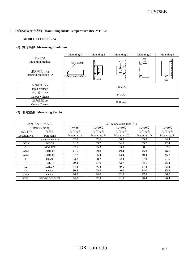#### **MODEL : CUS75EB-24**

#### **(1)** 測定条件 **Measuring Conditions**

|                                                                      | Mounting A                                               | Mounting B              | Mounting C                | Mounting D    | Mounting E |  |  |  |  |
|----------------------------------------------------------------------|----------------------------------------------------------|-------------------------|---------------------------|---------------|------------|--|--|--|--|
| 取付方法<br><b>Mounting Method</b><br>(標準取付:A)<br>(Standard Mounting: A) | CN1(INPUT)<br>n an t-ainm an an an an an an an t-ainm an | i<br>N<br>Ę<br>N<br>CN1 | CN1<br>IJ<br>$\Box$<br>ij | CN1<br>Ñ<br>ŷ | ŀ<br>CN1   |  |  |  |  |
| 入力電圧 Vin                                                             | 110VDC                                                   |                         |                           |               |            |  |  |  |  |
| Input Voltage                                                        |                                                          |                         |                           |               |            |  |  |  |  |
| 出力電圧 Vo                                                              |                                                          |                         | 24VDC                     |               |            |  |  |  |  |
| <b>Output Voltage</b>                                                |                                                          |                         |                           |               |            |  |  |  |  |
| 出力電流 Io                                                              |                                                          |                         | Full load                 |               |            |  |  |  |  |
| <b>Output Current</b>                                                |                                                          |                         |                           |               |            |  |  |  |  |

|                | 出力ディレーティング             | $\Delta T$ Temperature Rise (°C) |                  |                  |                  |                  |  |  |  |
|----------------|------------------------|----------------------------------|------------------|------------------|------------------|------------------|--|--|--|
|                | <b>Output Derating</b> | Ta= $50^{\circ}$ C               | $Ta=50^{\circ}C$ | $Ta=50^{\circ}C$ | $Ta=50^{\circ}C$ | $Ta=50^{\circ}C$ |  |  |  |
| 部品番号           | 部品名                    | 取付方向                             | 取付方向             | 取付方向             | 取付方向             | 取付方向             |  |  |  |
| Location No.   | Part name              | Mounting A                       | Mounting B       | Mounting C       | Mounting D       | Mounting E       |  |  |  |
| D1             | <b>BRIDGE DIODE</b>    | 62.5                             | 62.6             | 66.5             | 69.8             | 64.4             |  |  |  |
| D51A           | <b>DIODE</b>           | 61.7                             | 63.2             | 64.0             | 65.7             | 72.4             |  |  |  |
| Q <sub>1</sub> | <b>MOS FET</b>         | 62.5                             | 65.3             | 63.0             | 68.1             | 62.5             |  |  |  |
| A101           | CHIP IC                | 41.5                             | 39.0             | 49.4             | 45.9             | 46.6             |  |  |  |
| A201           | CHIP IC                | 37.7                             | 35.4             | 43.4             | 40.4             | 45.7             |  |  |  |
| T1             | <b>TRANS</b>           | 63.2                             | 58.7             | 62.4             | 67.0             | 71.6             |  |  |  |
| L1             | <b>BALUN</b>           | 39.2                             | 37.0             | 42.7             | 48.1             | 38.2             |  |  |  |
| L2             | <b>BALUN</b>           | 44.4                             | 46.4             | 49.5             | 57.4             | 43.2             |  |  |  |
| C <sub>5</sub> | E.CAP.                 | 30.4                             | 25.9             | 40.0             | 34.0             | 35.8             |  |  |  |
| C51A           | E.CAP.                 | 26.6                             | 24.0             | 32.6             | 27.8             | 36.2             |  |  |  |
| <b>PC101</b>   | PHOTO COUPLER          | 34.6                             | 32.3             | 41.8             | 38.4             | 40.4             |  |  |  |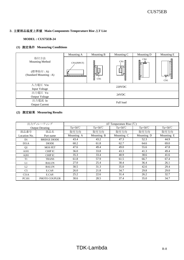#### **MODEL : CUS75EB-24**

#### **(1)** 測定条件 **Measuring Conditions**

|                                                                      | Mounting A                                               | Mounting B               | Mounting C         | Mounting D                                              | Mounting E |  |  |  |
|----------------------------------------------------------------------|----------------------------------------------------------|--------------------------|--------------------|---------------------------------------------------------|------------|--|--|--|
| 取付方法<br><b>Mounting Method</b><br>(標準取付:A)<br>(Standard Mounting: A) | CN1(INPUT)<br>n an t-ainm an an an an an an an t-ainm an | I)<br>H<br>Ę<br>N<br>CN1 | CN1<br>H<br>Γ<br>ŀ | CN1<br>のこのことになることである。<br>$\overline{\phantom{a}}$<br>Ñ, | CN1        |  |  |  |
| 入力電圧 Vin                                                             |                                                          |                          | 220VDC             |                                                         |            |  |  |  |
| Input Voltage                                                        |                                                          |                          |                    |                                                         |            |  |  |  |
| 出力電圧 Vo                                                              | 24VDC                                                    |                          |                    |                                                         |            |  |  |  |
| Output Voltage                                                       |                                                          |                          |                    |                                                         |            |  |  |  |
| 出力電流 Io                                                              | Full load                                                |                          |                    |                                                         |            |  |  |  |
| <b>Output Current</b>                                                |                                                          |                          |                    |                                                         |            |  |  |  |

|                | 出力ディレーティング             | $\Delta T$ Temperature Rise (°C) |                  |                    |                  |                  |  |  |  |
|----------------|------------------------|----------------------------------|------------------|--------------------|------------------|------------------|--|--|--|
|                | <b>Output Derating</b> | Ta= $50^{\circ}$ C               | $Ta=50^{\circ}C$ | $Ta = 50^{\circ}C$ | $Ta=50^{\circ}C$ | $Ta=50^{\circ}C$ |  |  |  |
| 部品番号           | 部品名                    | 取付方向                             | 取付方向             | 取付方向               | 取付方向             | 取付方向             |  |  |  |
| Location No.   | Part name              | Mounting A                       | Mounting B       | Mounting C         | Mounting D       | Mounting E       |  |  |  |
| D1             | <b>BRIDGE DIODE</b>    | 43.4                             | 43.2             | 47.3               | 52.3             | 44.9             |  |  |  |
| D51A           | <b>DIODE</b>           | 60.2                             | 61.8             | 62.7               | 64.6             | 69.0             |  |  |  |
| Q <sub>1</sub> | <b>MOS FET</b>         | 47.6                             | 49.4             | 49.0               | 55.6             | 47.8             |  |  |  |
| A101           | CHIP IC                | 36.0                             | 33.8             | 43.3               | 41.3             | 49.4             |  |  |  |
| A201           | CHIP IC                | 35.3                             | 33.4             | 40.9               | 38.6             | 41.6             |  |  |  |
| T1             | <b>TRANS</b>           | 61.8                             | 57.9             | 61.5               | 66.7             | 67.4             |  |  |  |
| L1             | <b>BALUN</b>           | 27.0                             | 25.4             | 30.4               | 36.4             | 26.1             |  |  |  |
| L2             | <b>BALUN</b>           | 30.5                             | 31.3             | 35.0               | 42.6             | 29.4             |  |  |  |
| C <sub>5</sub> | E.CAP.                 | 26.0                             | 21.8             | 34.7               | 29.8             | 29.0             |  |  |  |
| C51A           | E.CAP.                 | 25.2                             | 22.6             | 31.4               | 26.2             | 32.7             |  |  |  |
| <b>PC101</b>   | PHOTO COUPLER          | 30.6                             | 28.5             | 37.4               | 35.0             | 34.7             |  |  |  |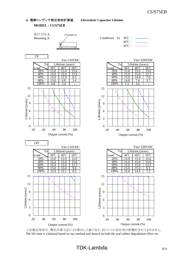#### **MODEL : CUS75EB**



上記推定寿命は、弊社計算方法により算出した値であり、封口ゴムの劣化等の影響を含めておりません。 The life time is calulated based on our method and doesn't include the seal rubber degradation effect etc.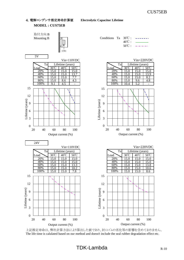**MODEL : CUS75EB**



上記推定寿命は、弊社計算方法により算出した値であり、封口ゴムの劣化等の影響を含めておりません。 The life time is calulated based on our method and doesn't include the seal rubber degradation effect etc.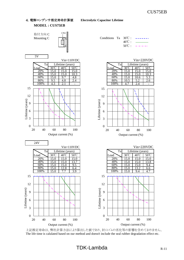



上記推定寿命は、弊社計算方法により算出した値であり、封口ゴムの劣化等の影響を含めておりません。 The life time is calulated based on our method and doesn't include the seal rubber degradation effect etc.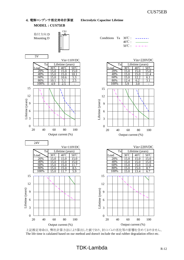



上記推定寿命は、弊社計算方法により算出した値であり、封口ゴムの劣化等の影響を含めておりません。 The life time is calulated based on our method and doesn't include the seal rubber degradation effect etc.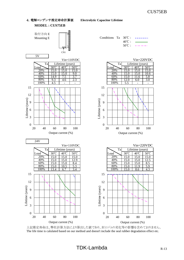4.電解コンデンサ推定寿命計算値 **Electrolytic Capacitor Lifetime MODEL : CUS75EB**



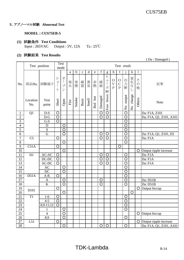( Da : Damaged )

# 5.アブノーマル試験 **Abnormal Test**

#### **MODEL : CUS75EB-5**

# **(1)** 試験条件 **Test Conditions** Input : 265VAC Output : 5V, 12A Ta : 25℃

# **(2)** 試験結果 **Test Results**

|                 |                 | Test position    |                            | Test<br>mode                                                           |      |             |              |       |           |                       |                                |                                                       |                                             | Test result                         |                                     |                         |                         |
|-----------------|-----------------|------------------|----------------------------|------------------------------------------------------------------------|------|-------------|--------------|-------|-----------|-----------------------|--------------------------------|-------------------------------------------------------|---------------------------------------------|-------------------------------------|-------------------------------------|-------------------------|-------------------------|
|                 |                 |                  |                            |                                                                        | a    | $\mathbf b$ | $\mathbf c$  | d     | ${\bf e}$ | $\mathbf f$           | $\mathbf{g}% _{0}$             | h                                                     | $\bf{l}$                                    | $\mathbf{1}$                        | k                                   | $\mathbf{1}$            |                         |
| No.             | 部品No.           | 試験端子             | シ<br>$\exists$<br>$\vdash$ | オ<br>$\begin{array}{c} \hline \end{array}$<br>プ<br>$\overline{\smile}$ | 発火   | 発煙          | 破裂           | 異臭    | 赤熱        | 破損                    | ヒ<br>$\mathfrak{I}%$<br>ズ<br>断 | $\bigcirc$<br>$\overline{\mathrm{V}}$<br>$\mathbf{P}$ | $\bigcirc$<br>$\mathcal{C}$<br>$\mathbf{P}$ | 出力断                                 | 変化な                                 | そ<br>$\mathcal{O}$<br>他 | 記事                      |
|                 | Location<br>No. | Test<br>point    | Short                      | Open                                                                   | Fire | Smoke       | <b>Burst</b> | Smell | Red hot   | Damaged               | blown<br>Fuse                  |                                                       |                                             | output<br>$\mathsf{S}^{\mathsf{O}}$ | change<br>$\mathsf{S}^{\mathsf{O}}$ | Others                  | Note                    |
| $\mathbf{1}$    | Q1              | $D-S$            | $\circ$                    |                                                                        |      |             |              |       |           | $\circ$               | $\overline{O}$                 |                                                       |                                             | $\circ$                             |                                     |                         | Da: F1A, Z101           |
| $\sqrt{2}$      |                 | $D-G$            | $\overline{O}$             |                                                                        |      |             |              |       |           | $\overline{\bigcirc}$ | $\overline{O}$                 |                                                       |                                             | $\overline{O}$                      |                                     |                         | Da: F1A, Q1, Z101, A101 |
| 3               |                 | $G-S$            | $\circ$                    |                                                                        |      |             |              |       |           |                       |                                |                                                       |                                             | $\circ$                             |                                     |                         |                         |
| $\overline{4}$  |                 | $\mathbf D$      |                            | $\circ$                                                                |      |             |              |       |           |                       |                                |                                                       |                                             | $\circ$                             |                                     |                         |                         |
| 5               |                 | ${\bf S}$        |                            | $\overline{O}$                                                         |      |             |              |       |           |                       |                                |                                                       |                                             | $\circ$                             |                                     |                         |                         |
| 6               |                 | ${\bf G}$        |                            | $\circ$                                                                |      |             |              |       |           | $\circ$               | $\circ$                        |                                                       |                                             | $\circ$                             |                                     |                         | Da: F1A, Q1, Z101, D1   |
| $\overline{7}$  | C <sub>5</sub>  |                  | $\circ$                    |                                                                        |      |             |              |       |           | $\circ$               | $\circ$                        |                                                       |                                             | $\circ$                             |                                     |                         | Da: F1A                 |
| $\,8\,$         |                 |                  |                            | $\circ$                                                                |      |             |              |       |           |                       |                                |                                                       |                                             | $\circ$                             |                                     |                         |                         |
| 9               | C51A            |                  | $\bigcirc$                 |                                                                        |      |             |              |       |           |                       |                                |                                                       | O                                           |                                     |                                     |                         |                         |
| 10              |                 |                  |                            | $\circ$                                                                |      |             |              |       |           |                       |                                |                                                       |                                             |                                     |                                     | O                       | Output ripple increase  |
| 11              | D1              | AC-AC            | $\circ$                    |                                                                        |      |             |              |       |           | $\bigcirc$            | $\circ$                        |                                                       |                                             | $\circ$                             |                                     |                         | Da: F1A                 |
| 12              |                 | $DC-DC$          | $\circ$                    |                                                                        |      |             |              |       |           | $\circ$               | $\circ$                        |                                                       |                                             | $\circ$                             |                                     |                         | Da: F1A                 |
| $\overline{13}$ |                 | AC-DC            | $\circ$                    |                                                                        |      |             |              |       |           | $\overline{\bigcirc}$ | $\overline{O}$                 |                                                       |                                             | $\overline{O}$                      |                                     |                         | Da: F1A                 |
| 14              |                 | <b>AC</b>        |                            | $\circ$                                                                |      |             |              |       |           |                       |                                |                                                       |                                             | $\overline{\circ}$                  |                                     |                         |                         |
| 15              |                 | DC               |                            | $\overline{\circ}$                                                     |      |             |              |       |           |                       |                                |                                                       |                                             | $\circ$                             |                                     |                         |                         |
| 16              | D51A            | $A-K$            | $\circ$                    |                                                                        |      |             |              |       |           |                       |                                |                                                       |                                             | $\overline{O}$                      |                                     |                         |                         |
| 17              |                 | $\mathbf{A}$     |                            | O                                                                      |      |             |              |       |           | $\circ$               |                                |                                                       |                                             | $\circ$                             |                                     |                         | Da: D51B                |
| 18              |                 | $\bf K$          |                            | $\circ$                                                                |      |             |              |       |           | $\circ$               |                                |                                                       |                                             | $\circ$                             |                                     |                         | Da: D51B                |
| 19              | D101            |                  | $\circ$                    |                                                                        |      |             |              |       |           |                       |                                |                                                       |                                             |                                     |                                     | O                       | Output hiccup           |
| 20              |                 |                  |                            | $\circ$                                                                |      |             |              |       |           |                       |                                |                                                       |                                             |                                     | $\circ$                             |                         |                         |
| 21              | T1              | $1-6$            | $\circ$                    |                                                                        |      |             |              |       |           |                       |                                |                                                       |                                             | $\circ$                             |                                     |                         |                         |
| 22              |                 | $4 - 5$          | $\circ$                    |                                                                        |      |             |              |       |           |                       |                                |                                                       |                                             | $\circ$                             |                                     |                         |                         |
| 23              |                 | $8,9-11,12$      | $\overline{O}$             |                                                                        |      |             |              |       |           |                       |                                |                                                       |                                             | $\overline{O}$                      |                                     |                         |                         |
| 24              |                 | $\mathbf{1}$     |                            | $\bigcirc$                                                             |      |             |              |       |           |                       |                                |                                                       |                                             | $\overline{O}$                      |                                     |                         |                         |
| $\overline{25}$ |                 | $\overline{4}$   |                            | $\overline{\mathsf{O}}$                                                |      |             |              |       |           |                       |                                |                                                       |                                             |                                     |                                     | $\circ$                 | Output hiccup           |
| $\overline{26}$ |                 | $\overline{8,9}$ |                            | $\overline{\mathsf{O}}$                                                |      |             |              |       |           |                       |                                |                                                       |                                             | $\overline{O}$                      |                                     |                         |                         |
| 27              | L51             |                  | $\circ$                    |                                                                        |      |             |              |       |           |                       |                                |                                                       |                                             |                                     |                                     | $\bigcirc$              | Output ripple increase  |
| 28              |                 |                  |                            | $\overline{O}$                                                         |      |             |              |       |           | $\overline{\circ}$    | $\overline{\circ}$             |                                                       |                                             | $\overline{\circ}$                  |                                     |                         | Da: F1A, Q1, Z101, A101 |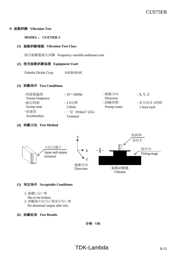#### 6.振動試験 **Vibration Test**

#### **MODEL** : **CUS75EB-5**

#### **(1)** 振動試験種類 **Vibration Test Class**

掃引振動数耐久試験 Frequency variable endurance test

#### **(2)** 使用振動試験装置 **Equipment Used**

Unholtz Dickie Corp. SAI30-R16C

#### **(3)** 試験条件 **Test Conditions**

| ・周波数範囲          | : $10\sim500$ Hz               | ・振動方向       | : X, Y, Z   |
|-----------------|--------------------------------|-------------|-------------|
| Sweep frequency |                                | Direction   |             |
| ・掃引時間           | : 1.0分間                        | ・試験時間       | : 各方向共 1時間  |
| Sweep time      | 1.0min                         | Sweep count | 1 hour each |
| ・加速度            | : 一定 19.6m/s <sup>2</sup> (2G) |             |             |
| Acceleration    | Constant                       |             |             |

#### **(4)** 試験方法 **Test Method**



#### **(5)** 判定条件 **Acceptable Conditions**

1. 破壊しない事

Not to be broken.

- 2. 試験後の出力に異常がない事 No abnormal output after test.
- **(6)** 試験結果 **Test Results**

合格 **OK**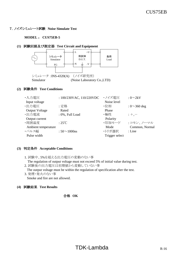#### 7.ノイズシミュレート試験 **Noise Simulate Test**

#### **MODEL** : **CUS75EB-5**

#### **(1)** 試験回路及び測定器 **Test Circuit and Equipment**



## **(2)** 試験条件 **Test Conditions**

| ・入力電圧                 | : 100/230VAC, 110/220VDC | ・ノイズ電圧         | $: 0 \sim 2kV$     |
|-----------------------|--------------------------|----------------|--------------------|
| Input voltage         |                          | Noise level    |                    |
| ·出力電压                 | :定格                      | ・位相            | : $0 \sim 360$ deg |
| <b>Output Voltage</b> | Rated                    | Phase          |                    |
| ·出力電流                 | : 0%, Full Load          | ・極性            | $: +,-$            |
| Output current        |                          | Polarity       |                    |
| ·周囲温度                 | $:25^{\circ}\text{C}$    | ・印加モード         | : コモン、ノーマル         |
| Ambient temperature   |                          | Mode           | Common, Normal     |
| ・パルス幅                 | $:50 \sim 1000$ ns       | ・トリガ選択         | : Line             |
| Pulse width           |                          | Trigger select |                    |
|                       |                          |                |                    |

#### **(3)** 判定条件 **Acceptable Conditions**

1. 試験中、5%を超える出力電圧の変動のない事

The regulation of output voltage must not exceed 5% of initial value during test.

2. 試験後の出力電圧は初期値から変動していない事

The output voltage must be within the regulation of specification after the test.

- 3. 発煙・発火のない事 Smoke and fire are not allowed.
- **(4)** 試験結果 **Test Results**

合格 **OK**